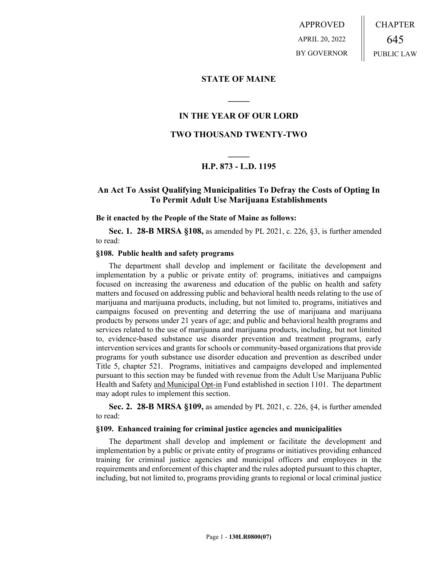APPROVED APRIL 20, 2022 BY GOVERNOR CHAPTER 645 PUBLIC LAW

## **STATE OF MAINE**

# **IN THE YEAR OF OUR LORD**

**\_\_\_\_\_**

## **TWO THOUSAND TWENTY-TWO**

# **\_\_\_\_\_ H.P. 873 - L.D. 1195**

# **An Act To Assist Qualifying Municipalities To Defray the Costs of Opting In To Permit Adult Use Marijuana Establishments**

#### **Be it enacted by the People of the State of Maine as follows:**

**Sec. 1. 28-B MRSA §108,** as amended by PL 2021, c. 226, §3, is further amended to read:

## **§108. Public health and safety programs**

The department shall develop and implement or facilitate the development and implementation by a public or private entity of: programs, initiatives and campaigns focused on increasing the awareness and education of the public on health and safety matters and focused on addressing public and behavioral health needs relating to the use of marijuana and marijuana products, including, but not limited to, programs, initiatives and campaigns focused on preventing and deterring the use of marijuana and marijuana products by persons under 21 years of age; and public and behavioral health programs and services related to the use of marijuana and marijuana products, including, but not limited to, evidence-based substance use disorder prevention and treatment programs, early intervention services and grants for schools or community-based organizations that provide programs for youth substance use disorder education and prevention as described under Title 5, chapter 521. Programs, initiatives and campaigns developed and implemented pursuant to this section may be funded with revenue from the Adult Use Marijuana Public Health and Safety and Municipal Opt-in Fund established in section 1101. The department may adopt rules to implement this section.

**Sec. 2. 28-B MRSA §109,** as amended by PL 2021, c. 226, §4, is further amended to read:

#### **§109. Enhanced training for criminal justice agencies and municipalities**

The department shall develop and implement or facilitate the development and implementation by a public or private entity of programs or initiatives providing enhanced training for criminal justice agencies and municipal officers and employees in the requirements and enforcement of this chapter and the rules adopted pursuant to this chapter, including, but not limited to, programs providing grants to regional or local criminal justice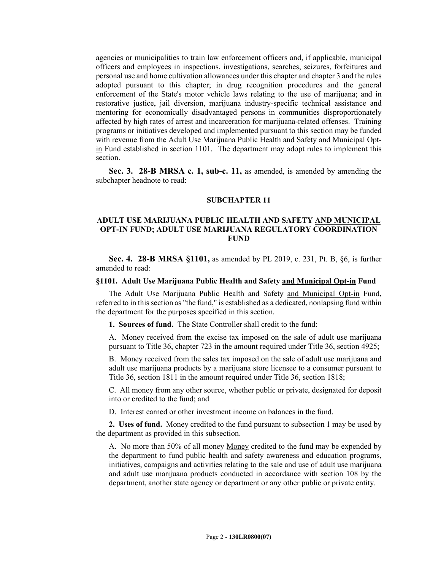agencies or municipalities to train law enforcement officers and, if applicable, municipal officers and employees in inspections, investigations, searches, seizures, forfeitures and personal use and home cultivation allowances under this chapter and chapter 3 and the rules adopted pursuant to this chapter; in drug recognition procedures and the general enforcement of the State's motor vehicle laws relating to the use of marijuana; and in restorative justice, jail diversion, marijuana industry-specific technical assistance and mentoring for economically disadvantaged persons in communities disproportionately affected by high rates of arrest and incarceration for marijuana-related offenses. Training programs or initiatives developed and implemented pursuant to this section may be funded with revenue from the Adult Use Marijuana Public Health and Safety and Municipal Optin Fund established in section 1101. The department may adopt rules to implement this section.

**Sec. 3. 28-B MRSA c. 1, sub-c. 11,** as amended, is amended by amending the subchapter headnote to read:

#### **SUBCHAPTER 11**

## **ADULT USE MARIJUANA PUBLIC HEALTH AND SAFETY AND MUNICIPAL OPT-IN FUND; ADULT USE MARIJUANA REGULATORY COORDINATION FUND**

**Sec. 4. 28-B MRSA §1101,** as amended by PL 2019, c. 231, Pt. B, §6, is further amended to read:

### **§1101. Adult Use Marijuana Public Health and Safety and Municipal Opt-in Fund**

The Adult Use Marijuana Public Health and Safety and Municipal Opt-in Fund, referred to in this section as "the fund," is established as a dedicated, nonlapsing fund within the department for the purposes specified in this section.

**1. Sources of fund.** The State Controller shall credit to the fund:

A. Money received from the excise tax imposed on the sale of adult use marijuana pursuant to Title 36, chapter 723 in the amount required under Title 36, section 4925;

B. Money received from the sales tax imposed on the sale of adult use marijuana and adult use marijuana products by a marijuana store licensee to a consumer pursuant to Title 36, section 1811 in the amount required under Title 36, section 1818;

C. All money from any other source, whether public or private, designated for deposit into or credited to the fund; and

D. Interest earned or other investment income on balances in the fund.

**2. Uses of fund.** Money credited to the fund pursuant to subsection 1 may be used by the department as provided in this subsection.

A. No more than 50% of all money Money credited to the fund may be expended by the department to fund public health and safety awareness and education programs, initiatives, campaigns and activities relating to the sale and use of adult use marijuana and adult use marijuana products conducted in accordance with section 108 by the department, another state agency or department or any other public or private entity.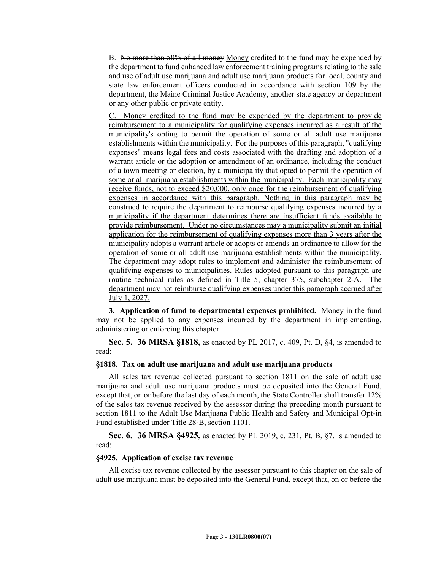B. No more than 50% of all money Money credited to the fund may be expended by the department to fund enhanced law enforcement training programs relating to the sale and use of adult use marijuana and adult use marijuana products for local, county and state law enforcement officers conducted in accordance with section 109 by the department, the Maine Criminal Justice Academy, another state agency or department or any other public or private entity.

Money credited to the fund may be expended by the department to provide reimbursement to a municipality for qualifying expenses incurred as a result of the municipality's opting to permit the operation of some or all adult use marijuana establishments within the municipality. For the purposes of this paragraph, "qualifying expenses" means legal fees and costs associated with the drafting and adoption of a warrant article or the adoption or amendment of an ordinance, including the conduct of a town meeting or election, by a municipality that opted to permit the operation of some or all marijuana establishments within the municipality. Each municipality may receive funds, not to exceed \$20,000, only once for the reimbursement of qualifying expenses in accordance with this paragraph. Nothing in this paragraph may be construed to require the department to reimburse qualifying expenses incurred by a municipality if the department determines there are insufficient funds available to provide reimbursement. Under no circumstances may a municipality submit an initial application for the reimbursement of qualifying expenses more than 3 years after the municipality adopts a warrant article or adopts or amends an ordinance to allow for the operation of some or all adult use marijuana establishments within the municipality. The department may adopt rules to implement and administer the reimbursement of qualifying expenses to municipalities. Rules adopted pursuant to this paragraph are routine technical rules as defined in Title 5, chapter 375, subchapter 2-A. The department may not reimburse qualifying expenses under this paragraph accrued after July 1, 2027.

**3. Application of fund to departmental expenses prohibited.** Money in the fund may not be applied to any expenses incurred by the department in implementing, administering or enforcing this chapter.

**Sec. 5. 36 MRSA §1818,** as enacted by PL 2017, c. 409, Pt. D, §4, is amended to read:

#### **§1818. Tax on adult use marijuana and adult use marijuana products**

All sales tax revenue collected pursuant to section 1811 on the sale of adult use marijuana and adult use marijuana products must be deposited into the General Fund, except that, on or before the last day of each month, the State Controller shall transfer 12% of the sales tax revenue received by the assessor during the preceding month pursuant to section 1811 to the Adult Use Marijuana Public Health and Safety and Municipal Opt-in Fund established under Title 28‑B, section 1101.

**Sec. 6. 36 MRSA §4925,** as enacted by PL 2019, c. 231, Pt. B, §7, is amended to read:

#### **§4925. Application of excise tax revenue**

All excise tax revenue collected by the assessor pursuant to this chapter on the sale of adult use marijuana must be deposited into the General Fund, except that, on or before the